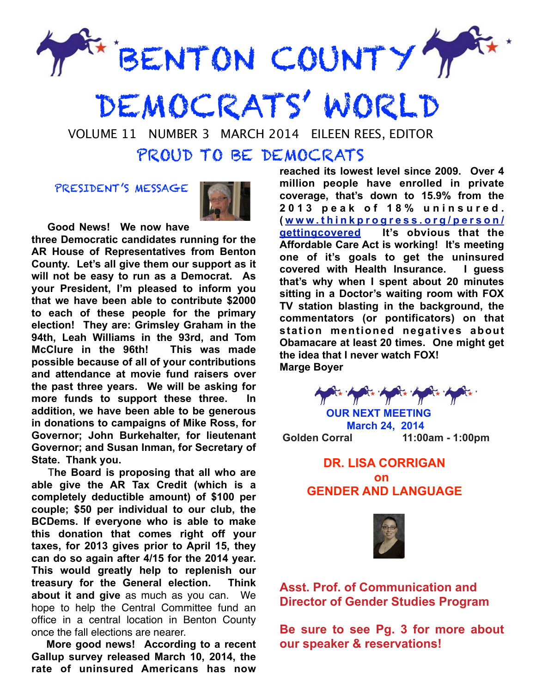

DEMOCRATS' WORLD

VOLUME 11 NUMBER 3 MARCH 2014 EILEEN REES, EDITOR

### PROUD TO BE DEMOCRATS

PRESIDENT'S MESSAGE



 **Good News! We now have** 

**three Democratic candidates running for the AR House of Representatives from Benton County. Let's all give them our support as it will not be easy to run as a Democrat. As your President, I'm pleased to inform you that we have been able to contribute \$2000 to each of these people for the primary election! They are: Grimsley Graham in the 94th, Leah Williams in the 93rd, and Tom McClure in the 96th! This was made possible because of all of your contributions and attendance at movie fund raisers over the past three years. We will be asking for**  more funds to support these three. **addition, we have been able to be generous in donations to campaigns of Mike Ross, for Governor; John Burkehalter, for lieutenant Governor; and Susan Inman, for Secretary of State. Thank you.** 

 T**he Board is proposing that all who are able give the AR Tax Credit (which is a completely deductible amount) of \$100 per couple; \$50 per individual to our club, the BCDems. If everyone who is able to make this donation that comes right off your taxes, for 2013 gives prior to April 15, they can do so again after 4/15 for the 2014 year. This would greatly help to replenish our treasury for the General election. Think about it and give** as much as you can. We hope to help the Central Committee fund an office in a central location in Benton County once the fall elections are nearer.

 **More good news! According to a recent Gallup survey released March 10, 2014, the rate of uninsured Americans has now** 

**reached its lowest level since 2009. Over 4 million people have enrolled in private coverage, that's down to 15.9% from the 2 0 1 3 p e a k o f 1 8 % u n i n s u r e d . ( www.thinkprogress.org/person/ [gettingcovered It's obvious that the](http://www.thinkprogress.org/person/getting)  Affordable Care Act is working! It's meeting one of it's goals to get the uninsured covered with Health Insurance. I guess that's why when I spent about 20 minutes sitting in a Doctor's waiting room with FOX TV station blasting in the background, the commentators (or pontificators) on that station mentioned negatives about Obamacare at least 20 times. One might get the idea that I never watch FOX! Marge Boyer**

for hor hard to her

 **OUR NEXT MEETING March 24, 2014 Golden Corral 11:00am - 1:00pm** 

### **DR. LISA CORRIGAN**  *<u>on both</u>*  **GENDER AND LANGUAGE**



**Asst. Prof. of Communication and Director of Gender Studies Program** 

**Be sure to see Pg. 3 for more about our speaker & reservations!**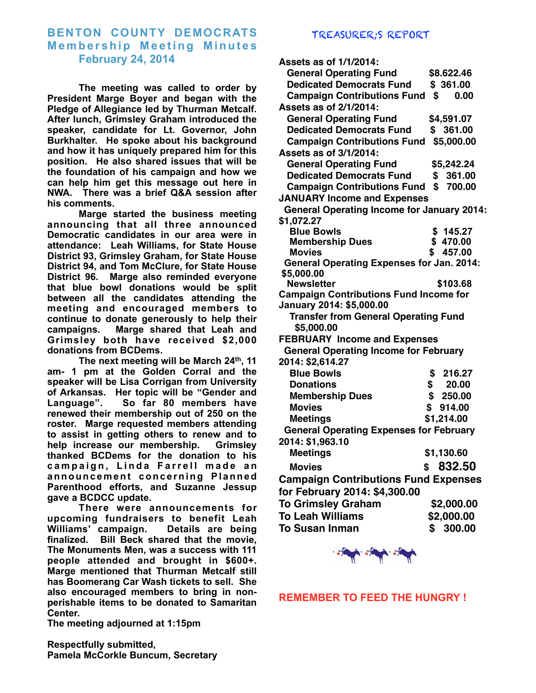#### **BENTON COUNTY DEMOCRATS Membership Meeting Minutes February 24, 2014**

 **The meeting was called to order by President Marge Boyer and began with the Pledge of Allegiance led by Thurman Metcalf. After lunch, Grimsley Graham introduced the speaker, candidate for Lt. Governor, John Burkhalter. He spoke about his background and how it has uniquely prepared him for this position. He also shared issues that will be the foundation of his campaign and how we can help him get this message out here in NWA. There was a brief Q&A session after his comments.** 

 **Marge started the business meeting announcing that all three announced Democratic candidates in our area were in attendance: Leah Williams, for State House District 93, Grimsley Graham, for State House District 94, and Tom McClure, for State House District 96. Marge also reminded everyone that blue bowl donations would be split between all the candidates attending the meeting and encouraged members to continue to donate generously to help their campaigns. Marge shared that Leah and Grimsley both have received \$2,000 donations from BCDems.** 

 **The next meeting will be March 24th, 11 am- 1 pm at the Golden Corral and the speaker will be Lisa Corrigan from University of Arkansas. Her topic will be "Gender and Language". So far 80 members have renewed their membership out of 250 on the roster. Marge requested members attending to assist in getting others to renew and to help increase our membership. Grimsley thanked BCDems for the donation to his**  campaign, Linda Farrell made an announcement concerning Planned **Parenthood efforts, and Suzanne Jessup gave a BCDCC update.** 

**There were announcements for upcoming fundraisers to benefit Leah Williams' campaign. Details are being finalized. Bill Beck shared that the movie, The Monuments Men, was a success with 111 people attended and brought in \$600+. Marge mentioned that Thurman Metcalf still has Boomerang Car Wash tickets to sell. She also encouraged members to bring in nonperishable items to be donated to Samaritan Center.** 

TREASURER;S REPORT

| Assets as of 1/1/2014:                            |              |
|---------------------------------------------------|--------------|
| <b>General Operating Fund</b>                     | \$8.622.46   |
| <b>Dedicated Democrats Fund</b>                   | \$361.00     |
| <b>Campaign Contributions Fund</b>                | \$<br>0.00   |
| Assets as of 2/1/2014:                            |              |
| <b>General Operating Fund</b>                     | \$4,591.07   |
| <b>Dedicated Democrats Fund</b>                   | \$361.00     |
| Campaign Contributions Fund \$5,000.00            |              |
| Assets as of 3/1/2014:                            |              |
| <b>General Operating Fund</b>                     | \$5,242.24   |
| <b>Dedicated Democrats Fund</b>                   | \$<br>361.00 |
| <b>Campaign Contributions Fund</b>                | \$<br>700.00 |
| <b>JANUARY Income and Expenses</b>                |              |
| <b>General Operating Income for January 2014:</b> |              |
| \$1,072.27                                        |              |
| <b>Blue Bowls</b>                                 | \$145.27     |
| <b>Membership Dues</b>                            | \$470.00     |
| <b>Movies</b>                                     | \$<br>457.00 |
| <b>General Operating Expenses for Jan. 2014:</b>  |              |
| \$5,000.00                                        |              |
| <b>Newsletter</b>                                 | \$103.68     |
| <b>Campaign Contributions Fund Income for</b>     |              |
| January 2014: \$5,000.00                          |              |
| <b>Transfer from General Operating Fund</b>       |              |
| \$5,000.00                                        |              |
| <b>FEBRUARY Income and Expenses</b>               |              |
| <b>General Operating Income for February</b>      |              |
| 2014: \$2,614.27                                  |              |
| <b>Blue Bowls</b>                                 | \$<br>216.27 |
| <b>Donations</b>                                  | \$<br>20.00  |
| <b>Membership Dues</b>                            | \$<br>250.00 |
| <b>Movies</b>                                     | \$<br>914.00 |
| <b>Meetings</b>                                   | \$1,214.00   |
| <b>General Operating Expenses for February</b>    |              |
| 2014: \$1,963.10                                  |              |
| <b>Meetings</b>                                   | \$1,130.60   |
| <b>Movies</b>                                     | \$ 832.50    |
| <b>Campaign Contributions Fund Expenses</b>       |              |
| for February 2014: \$4,300.00                     |              |
|                                                   |              |
| <b>To Grimsley Graham</b>                         | \$2,000.00   |
| <b>To Leah Williams</b>                           | \$2,000.00   |
| <b>To Susan Inman</b>                             | \$300.00     |



**REMEMBER TO FEED THE HUNGRY !**

**The meeting adjourned at 1:15pm** 

**Respectfully submitted, Pamela McCorkle Buncum, Secretary**